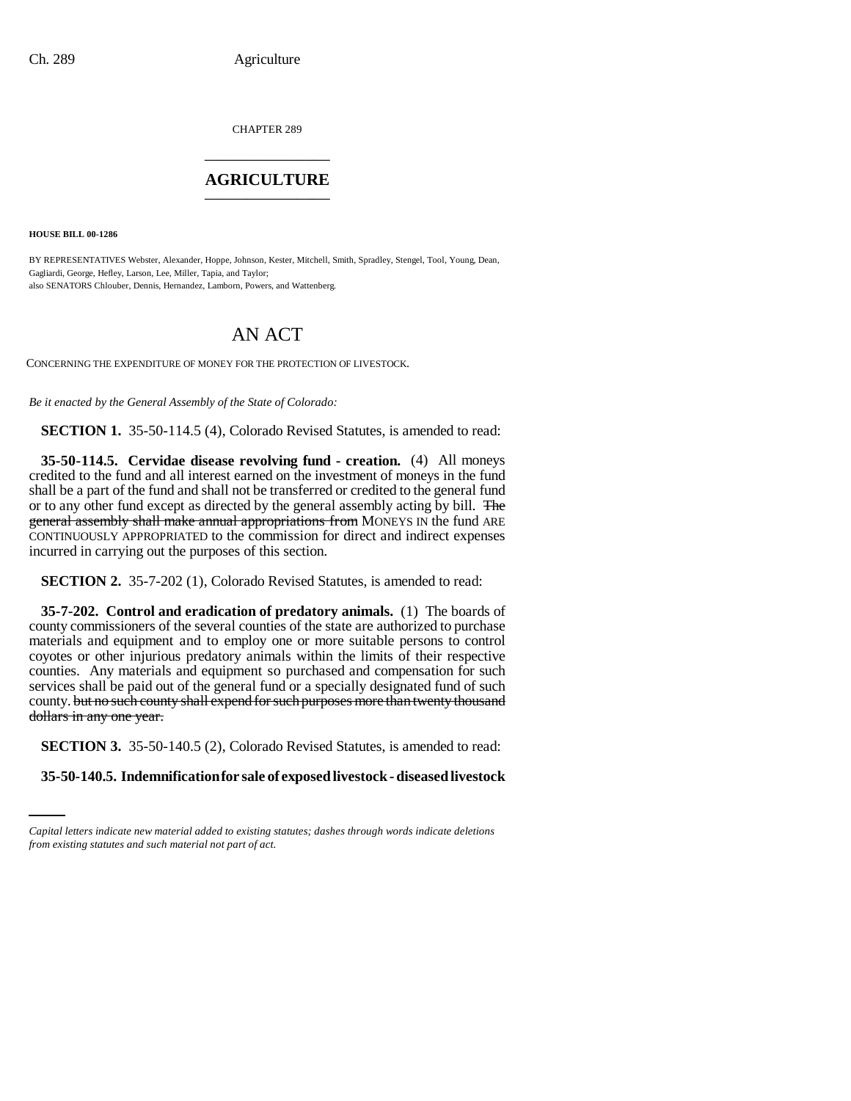CHAPTER 289 \_\_\_\_\_\_\_\_\_\_\_\_\_\_\_

## **AGRICULTURE** \_\_\_\_\_\_\_\_\_\_\_\_\_\_\_

**HOUSE BILL 00-1286** 

BY REPRESENTATIVES Webster, Alexander, Hoppe, Johnson, Kester, Mitchell, Smith, Spradley, Stengel, Tool, Young, Dean, Gagliardi, George, Hefley, Larson, Lee, Miller, Tapia, and Taylor; also SENATORS Chlouber, Dennis, Hernandez, Lamborn, Powers, and Wattenberg.

## AN ACT

CONCERNING THE EXPENDITURE OF MONEY FOR THE PROTECTION OF LIVESTOCK.

*Be it enacted by the General Assembly of the State of Colorado:*

**SECTION 1.** 35-50-114.5 (4), Colorado Revised Statutes, is amended to read:

**35-50-114.5. Cervidae disease revolving fund - creation.** (4) All moneys credited to the fund and all interest earned on the investment of moneys in the fund shall be a part of the fund and shall not be transferred or credited to the general fund or to any other fund except as directed by the general assembly acting by bill. The general assembly shall make annual appropriations from MONEYS IN the fund ARE CONTINUOUSLY APPROPRIATED to the commission for direct and indirect expenses incurred in carrying out the purposes of this section.

**SECTION 2.** 35-7-202 (1), Colorado Revised Statutes, is amended to read:

**35-7-202. Control and eradication of predatory animals.** (1) The boards of county commissioners of the several counties of the state are authorized to purchase materials and equipment and to employ one or more suitable persons to control coyotes or other injurious predatory animals within the limits of their respective counties. Any materials and equipment so purchased and compensation for such services shall be paid out of the general fund or a specially designated fund of such county. but no such county shall expend for such purposes more than twenty thousand dollars in any one year.

**SECTION 3.** 35-50-140.5 (2), Colorado Revised Statutes, is amended to read:

**35-50-140.5. Indemnification for sale of exposed livestock - diseased livestock**

*Capital letters indicate new material added to existing statutes; dashes through words indicate deletions from existing statutes and such material not part of act.*